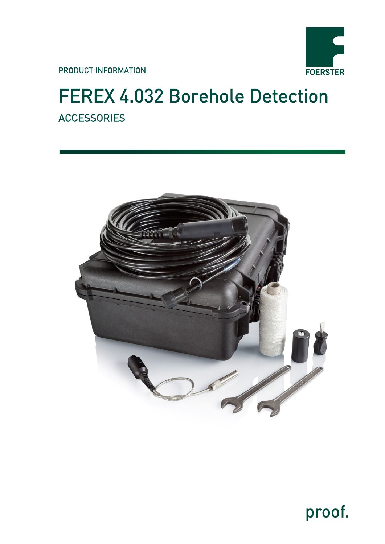

PRODUCT INFORMATION

# FEREX 4.032 Borehole Detection **ACCESSORIES**



proof.